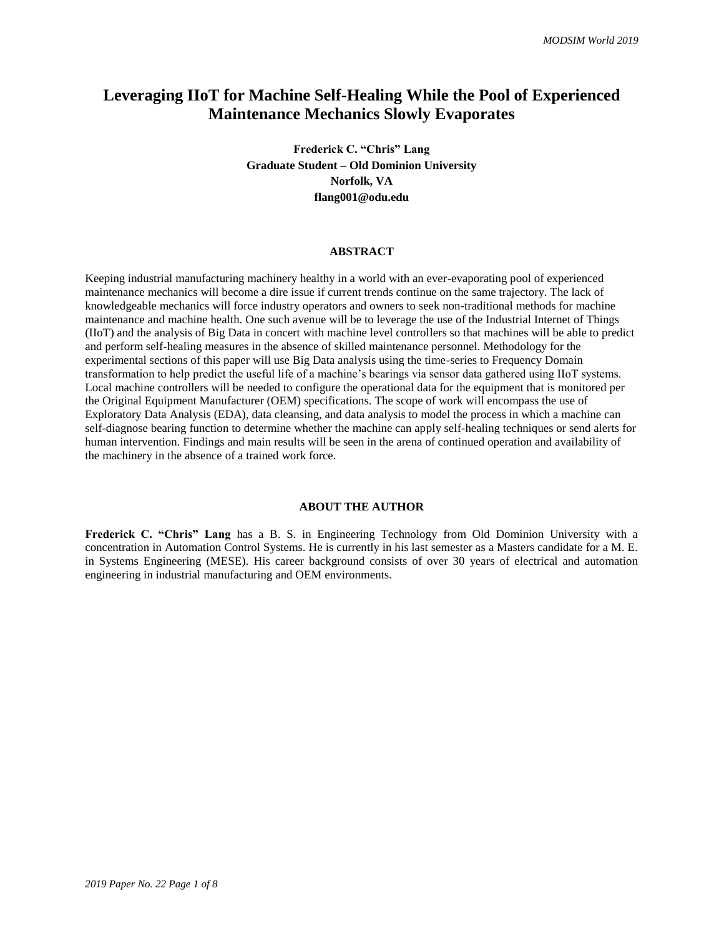## **Leveraging IIoT for Machine Self-Healing While the Pool of Experienced Maintenance Mechanics Slowly Evaporates**

**Frederick C. "Chris" Lang Graduate Student – Old Dominion University Norfolk, VA flang001@odu.edu**

#### **ABSTRACT**

Keeping industrial manufacturing machinery healthy in a world with an ever-evaporating pool of experienced maintenance mechanics will become a dire issue if current trends continue on the same trajectory. The lack of knowledgeable mechanics will force industry operators and owners to seek non-traditional methods for machine maintenance and machine health. One such avenue will be to leverage the use of the Industrial Internet of Things (IIoT) and the analysis of Big Data in concert with machine level controllers so that machines will be able to predict and perform self-healing measures in the absence of skilled maintenance personnel. Methodology for the experimental sections of this paper will use Big Data analysis using the time-series to Frequency Domain transformation to help predict the useful life of a machine's bearings via sensor data gathered using IIoT systems. Local machine controllers will be needed to configure the operational data for the equipment that is monitored per the Original Equipment Manufacturer (OEM) specifications. The scope of work will encompass the use of Exploratory Data Analysis (EDA), data cleansing, and data analysis to model the process in which a machine can self-diagnose bearing function to determine whether the machine can apply self-healing techniques or send alerts for human intervention. Findings and main results will be seen in the arena of continued operation and availability of the machinery in the absence of a trained work force.

## **ABOUT THE AUTHOR**

**Frederick C. "Chris" Lang** has a B. S. in Engineering Technology from Old Dominion University with a concentration in Automation Control Systems. He is currently in his last semester as a Masters candidate for a M. E. in Systems Engineering (MESE). His career background consists of over 30 years of electrical and automation engineering in industrial manufacturing and OEM environments.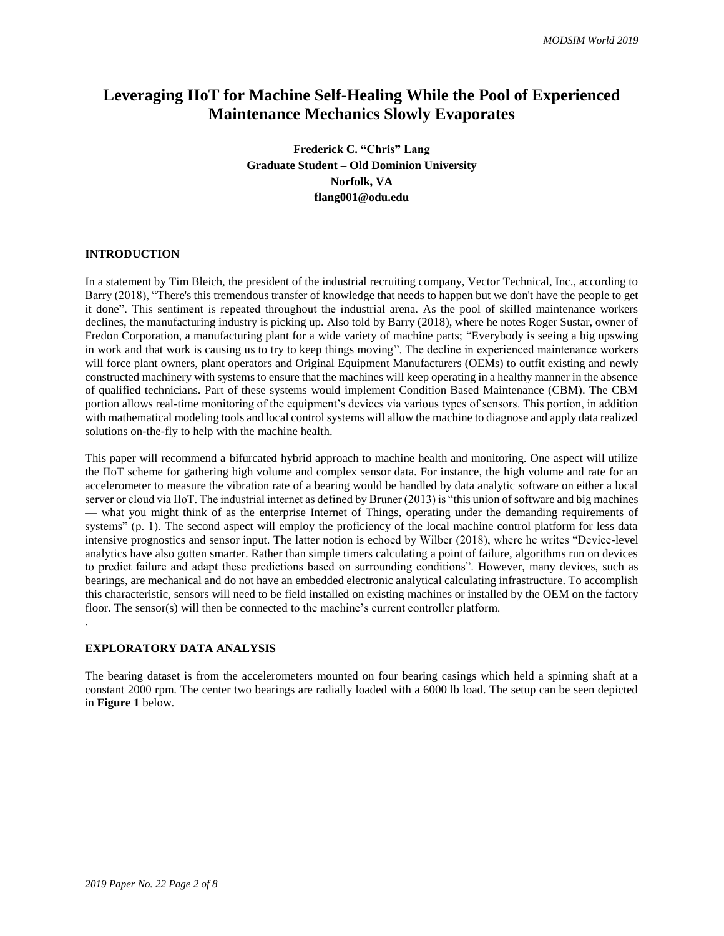# **Leveraging IIoT for Machine Self-Healing While the Pool of Experienced Maintenance Mechanics Slowly Evaporates**

**Frederick C. "Chris" Lang Graduate Student – Old Dominion University Norfolk, VA flang001@odu.edu**

## **INTRODUCTION**

In a statement by Tim Bleich, the president of the industrial recruiting company, Vector Technical, Inc., according to Barry (2018), "There's this tremendous transfer of knowledge that needs to happen but we don't have the people to get it done". This sentiment is repeated throughout the industrial arena. As the pool of skilled maintenance workers declines, the manufacturing industry is picking up. Also told by Barry (2018), where he notes Roger Sustar, owner of Fredon Corporation, a manufacturing plant for a wide variety of machine parts; "Everybody is seeing a big upswing in work and that work is causing us to try to keep things moving". The decline in experienced maintenance workers will force plant owners, plant operators and Original Equipment Manufacturers (OEMs) to outfit existing and newly constructed machinery with systems to ensure that the machines will keep operating in a healthy manner in the absence of qualified technicians. Part of these systems would implement Condition Based Maintenance (CBM). The CBM portion allows real-time monitoring of the equipment's devices via various types of sensors. This portion, in addition with mathematical modeling tools and local control systems will allow the machine to diagnose and apply data realized solutions on-the-fly to help with the machine health.

This paper will recommend a bifurcated hybrid approach to machine health and monitoring. One aspect will utilize the IIoT scheme for gathering high volume and complex sensor data. For instance, the high volume and rate for an accelerometer to measure the vibration rate of a bearing would be handled by data analytic software on either a local server or cloud via IIoT. The industrial internet as defined by Bruner (2013) is "this union of software and big machines — what you might think of as the enterprise Internet of Things, operating under the demanding requirements of systems" (p. 1). The second aspect will employ the proficiency of the local machine control platform for less data intensive prognostics and sensor input. The latter notion is echoed by Wilber (2018), where he writes "Device-level analytics have also gotten smarter. Rather than simple timers calculating a point of failure, algorithms run on devices to predict failure and adapt these predictions based on surrounding conditions". However, many devices, such as bearings, are mechanical and do not have an embedded electronic analytical calculating infrastructure. To accomplish this characteristic, sensors will need to be field installed on existing machines or installed by the OEM on the factory floor. The sensor(s) will then be connected to the machine's current controller platform. .

#### **EXPLORATORY DATA ANALYSIS**

The bearing dataset is from the accelerometers mounted on four bearing casings which held a spinning shaft at a constant 2000 rpm. The center two bearings are radially loaded with a 6000 lb load. The setup can be seen depicted in **Figure 1** below.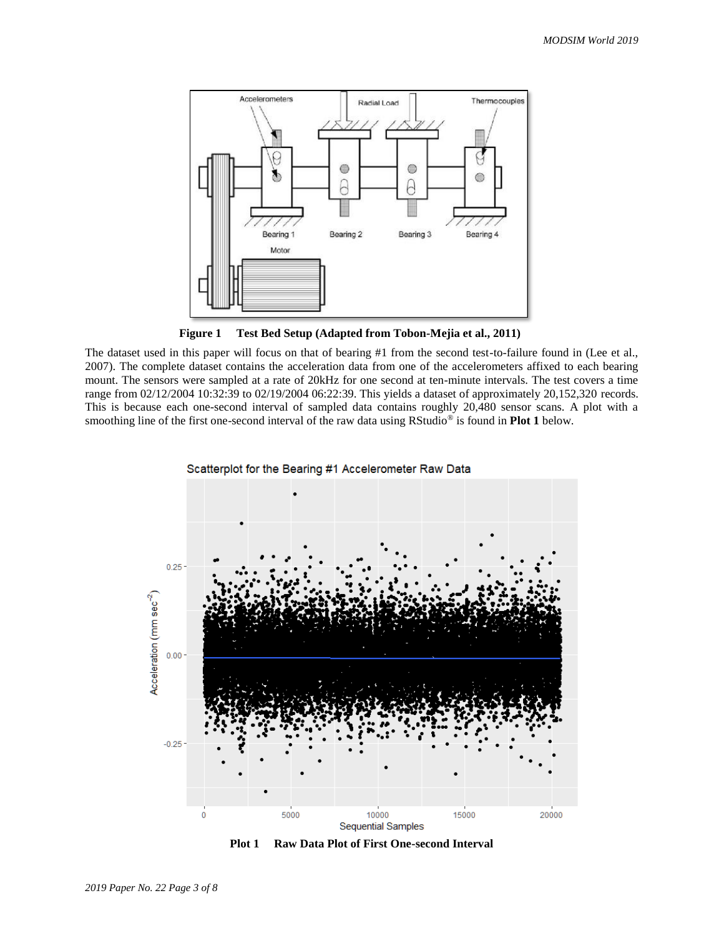

**Figure 1 Test Bed Setup (Adapted from Tobon-Mejia et al., 2011)**

The dataset used in this paper will focus on that of bearing #1 from the second test-to-failure found in (Lee et al., 2007). The complete dataset contains the acceleration data from one of the accelerometers affixed to each bearing mount. The sensors were sampled at a rate of 20kHz for one second at ten-minute intervals. The test covers a time range from 02/12/2004 10:32:39 to 02/19/2004 06:22:39. This yields a dataset of approximately 20,152,320 records. This is because each one-second interval of sampled data contains roughly 20,480 sensor scans. A plot with a smoothing line of the first one-second interval of the raw data using RStudio® is found in **Plot 1** below.



**Plot 1 Raw Data Plot of First One-second Interval**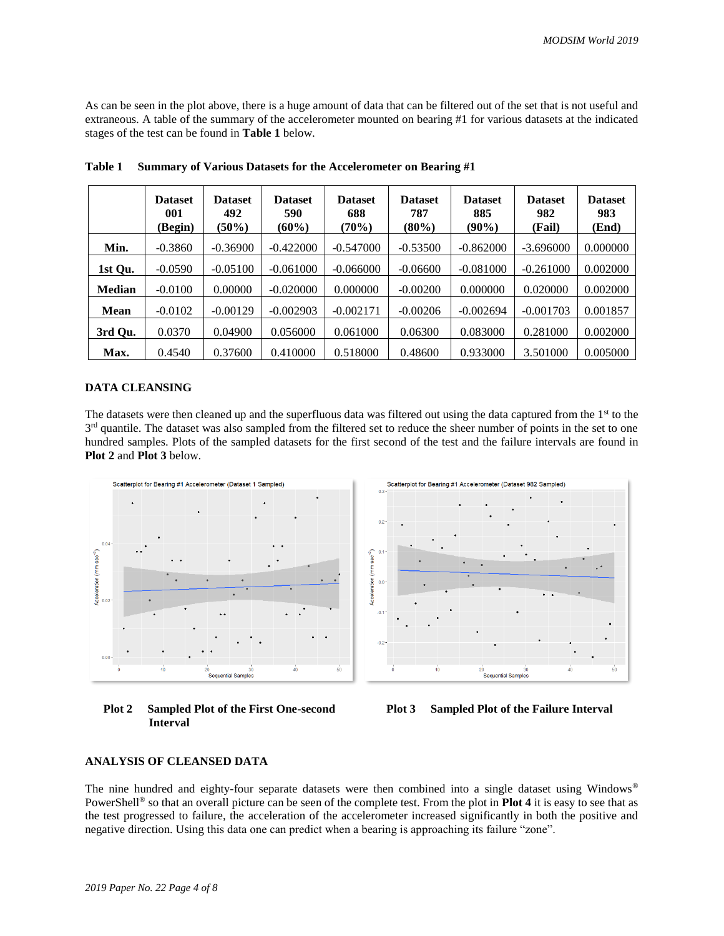As can be seen in the plot above, there is a huge amount of data that can be filtered out of the set that is not useful and extraneous. A table of the summary of the accelerometer mounted on bearing #1 for various datasets at the indicated stages of the test can be found in **Table 1** below.

|               | <b>Dataset</b><br>001<br>(Begin) | <b>Dataset</b><br>492<br>$(50\%)$ | <b>Dataset</b><br>590<br>$(60\%)$ | <b>Dataset</b><br>688<br>(70%) | <b>Dataset</b><br>787<br>$(80\%)$ | <b>Dataset</b><br>885<br>$(90\%)$ | <b>Dataset</b><br>982<br>(Fail) | <b>Dataset</b><br>983<br>(End) |
|---------------|----------------------------------|-----------------------------------|-----------------------------------|--------------------------------|-----------------------------------|-----------------------------------|---------------------------------|--------------------------------|
| Min.          | $-0.3860$                        | $-0.36900$                        | $-0.422000$                       | $-0.547000$                    | $-0.53500$                        | $-0.862000$                       | $-3.696000$                     | 0.000000                       |
| 1st Qu.       | $-0.0590$                        | $-0.05100$                        | $-0.061000$                       | $-0.066000$                    | $-0.06600$                        | $-0.081000$                       | $-0.261000$                     | 0.002000                       |
| <b>Median</b> | $-0.0100$                        | 0.00000                           | $-0.020000$                       | 0.000000                       | $-0.00200$                        | 0.000000                          | 0.020000                        | 0.002000                       |
| <b>Mean</b>   | $-0.0102$                        | $-0.00129$                        | $-0.002903$                       | $-0.002171$                    | $-0.00206$                        | $-0.002694$                       | $-0.001703$                     | 0.001857                       |
| 3rd Qu.       | 0.0370                           | 0.04900                           | 0.056000                          | 0.061000                       | 0.06300                           | 0.083000                          | 0.281000                        | 0.002000                       |
| Max.          | 0.4540                           | 0.37600                           | 0.410000                          | 0.518000                       | 0.48600                           | 0.933000                          | 3.501000                        | 0.005000                       |

**Table 1 Summary of Various Datasets for the Accelerometer on Bearing #1** 

#### **DATA CLEANSING**

The datasets were then cleaned up and the superfluous data was filtered out using the data captured from the  $1<sup>st</sup>$  to the 3<sup>rd</sup> quantile. The dataset was also sampled from the filtered set to reduce the sheer number of points in the set to one hundred samples. Plots of the sampled datasets for the first second of the test and the failure intervals are found in **Plot 2** and **Plot 3** below.



 **Plot 2 Sampled Plot of the First One-second Interval**



#### **ANALYSIS OF CLEANSED DATA**

The nine hundred and eighty-four separate datasets were then combined into a single dataset using Windows® PowerShell® so that an overall picture can be seen of the complete test. From the plot in **Plot 4** it is easy to see that as the test progressed to failure, the acceleration of the accelerometer increased significantly in both the positive and negative direction. Using this data one can predict when a bearing is approaching its failure "zone".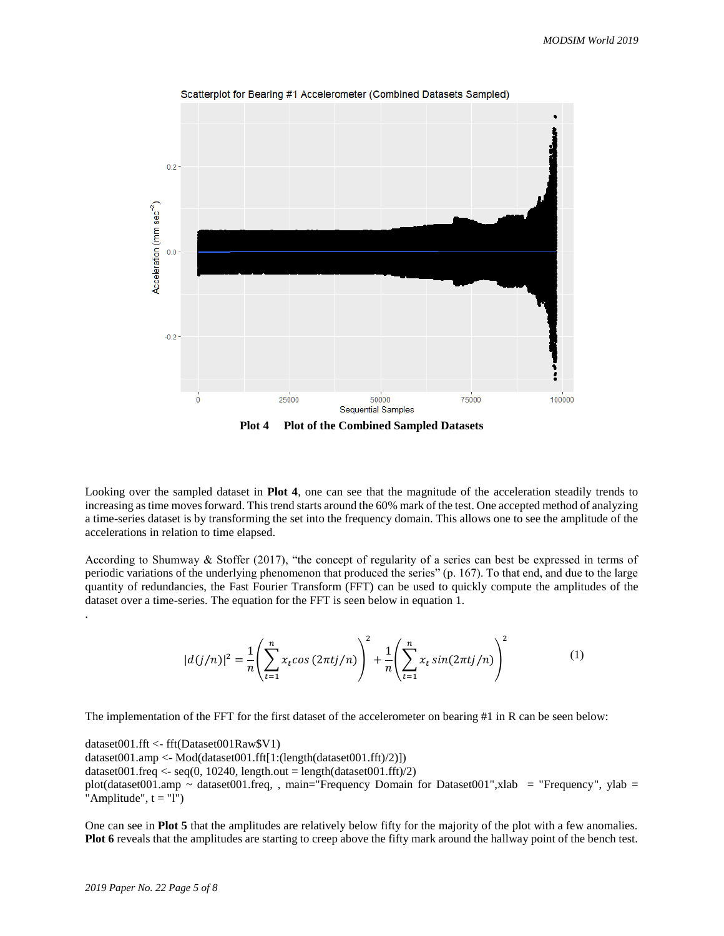

Looking over the sampled dataset in **Plot 4**, one can see that the magnitude of the acceleration steadily trends to increasing as time moves forward. This trend starts around the 60% mark of the test. One accepted method of analyzing a time-series dataset is by transforming the set into the frequency domain. This allows one to see the amplitude of the accelerations in relation to time elapsed.

According to Shumway & Stoffer (2017), "the concept of regularity of a series can best be expressed in terms of periodic variations of the underlying phenomenon that produced the series" (p. 167). To that end, and due to the large quantity of redundancies, the Fast Fourier Transform (FFT) can be used to quickly compute the amplitudes of the dataset over a time-series. The equation for the FFT is seen below in equation 1.

$$
|d(j/n)|^2 = \frac{1}{n} \left( \sum_{t=1}^n x_t \cos(2\pi t j/n) \right)^2 + \frac{1}{n} \left( \sum_{t=1}^n x_t \sin(2\pi t j/n) \right)^2 \tag{1}
$$

The implementation of the FFT for the first dataset of the accelerometer on bearing #1 in R can be seen below:

dataset001.fft <- fft(Dataset001Raw\$V1) dataset001.amp <- Mod(dataset001.fft[1:(length(dataset001.fft)/2)]) dataset001.freq <- seq(0, 10240, length.out = length(dataset001.fft)/2) plot(dataset001.amp ~ dataset001.freq, , main="Frequency Domain for Dataset001",xlab = "Frequency", ylab = "Amplitude",  $t = "1"$ )

One can see in **Plot 5** that the amplitudes are relatively below fifty for the majority of the plot with a few anomalies. **Plot 6** reveals that the amplitudes are starting to creep above the fifty mark around the hallway point of the bench test.

.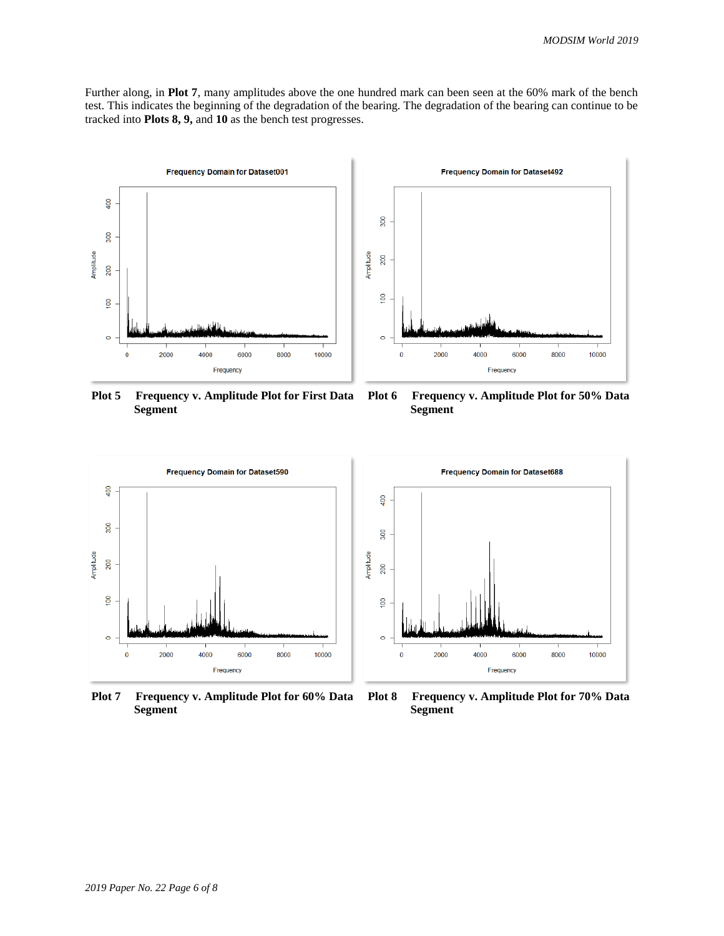Further along, in **Plot 7**, many amplitudes above the one hundred mark can been seen at the 60% mark of the bench test. This indicates the beginning of the degradation of the bearing. The degradation of the bearing can continue to be tracked into **Plots 8, 9,** and **10** as the bench test progresses.



**Plot 5 Frequency v. Amplitude Plot for First Data Segment**



**Plot 6 Frequency v. Amplitude Plot for 50% Data Segment**



**Plot 7 Frequency v. Amplitude Plot for 60% Data Segment**



**Plot 8 Frequency v. Amplitude Plot for 70% Data Segment**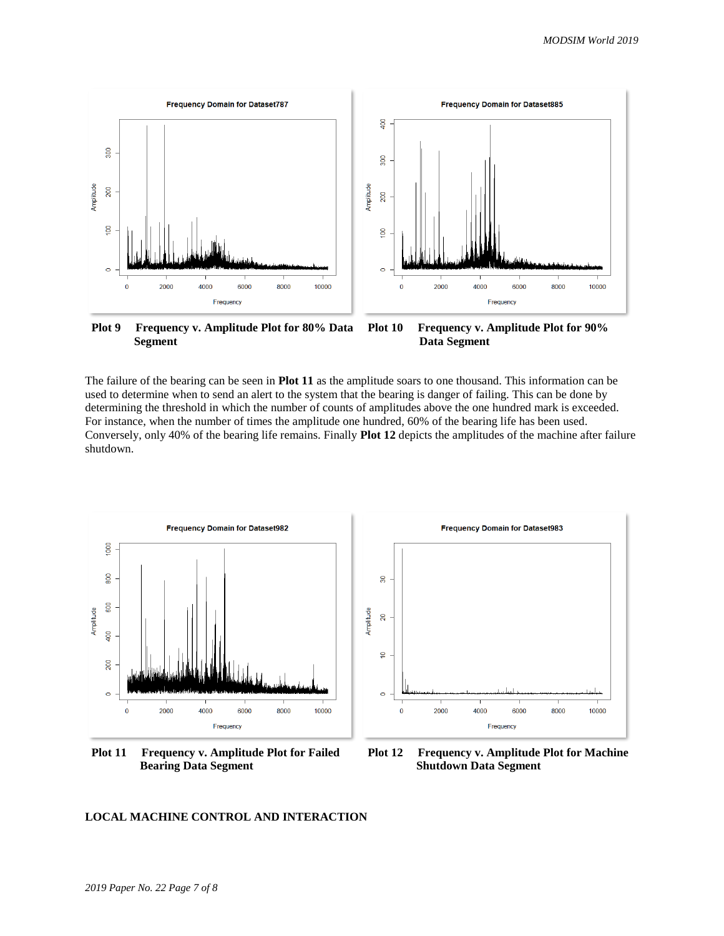

**Plot 9 Frequency v. Amplitude Plot for 80% Data Segment Plot 10 Frequency v. Amplitude Plot for 90% Data Segment**

The failure of the bearing can be seen in **Plot 11** as the amplitude soars to one thousand. This information can be used to determine when to send an alert to the system that the bearing is danger of failing. This can be done by determining the threshold in which the number of counts of amplitudes above the one hundred mark is exceeded. For instance, when the number of times the amplitude one hundred, 60% of the bearing life has been used. Conversely, only 40% of the bearing life remains. Finally **Plot 12** depicts the amplitudes of the machine after failure shutdown.



**Plot 11 Frequency v. Amplitude Plot for Failed Bearing Data Segment**



**Plot 12 Frequency v. Amplitude Plot for Machine Shutdown Data Segment**

#### **LOCAL MACHINE CONTROL AND INTERACTION**